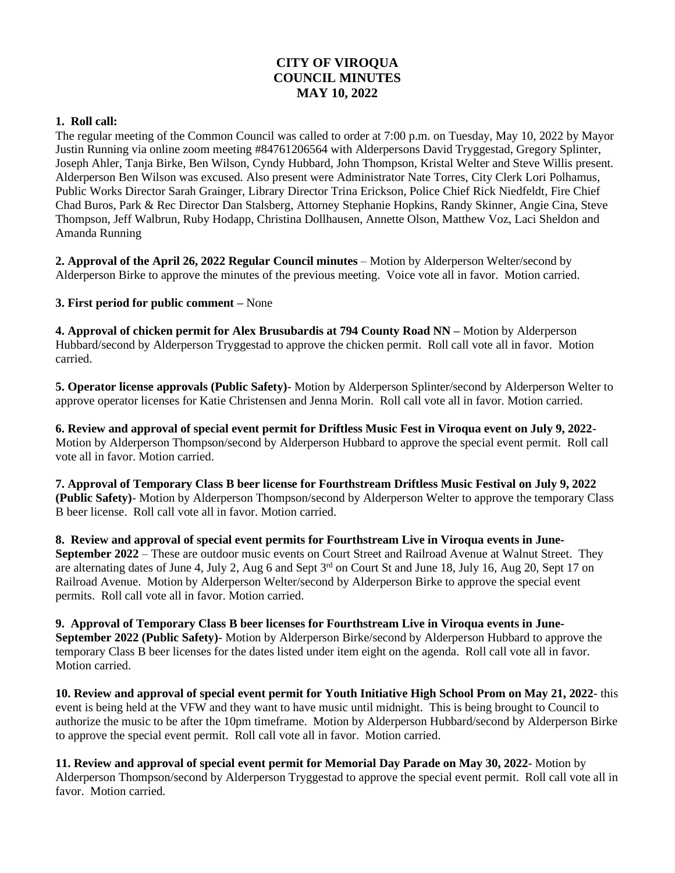## **CITY OF VIROQUA COUNCIL MINUTES MAY 10, 2022**

## **1. Roll call:**

The regular meeting of the Common Council was called to order at 7:00 p.m. on Tuesday, May 10, 2022 by Mayor Justin Running via online zoom meeting #84761206564 with Alderpersons David Tryggestad, Gregory Splinter, Joseph Ahler, Tanja Birke, Ben Wilson, Cyndy Hubbard, John Thompson, Kristal Welter and Steve Willis present. Alderperson Ben Wilson was excused. Also present were Administrator Nate Torres, City Clerk Lori Polhamus, Public Works Director Sarah Grainger, Library Director Trina Erickson, Police Chief Rick Niedfeldt, Fire Chief Chad Buros, Park & Rec Director Dan Stalsberg, Attorney Stephanie Hopkins, Randy Skinner, Angie Cina, Steve Thompson, Jeff Walbrun, Ruby Hodapp, Christina Dollhausen, Annette Olson, Matthew Voz, Laci Sheldon and Amanda Running

**2. Approval of the April 26, 2022 Regular Council minutes** – Motion by Alderperson Welter/second by Alderperson Birke to approve the minutes of the previous meeting. Voice vote all in favor. Motion carried.

**3. First period for public comment –** None

**4. Approval of chicken permit for Alex Brusubardis at 794 County Road NN –** Motion by Alderperson Hubbard/second by Alderperson Tryggestad to approve the chicken permit. Roll call vote all in favor. Motion carried.

**5. Operator license approvals (Public Safety)**- Motion by Alderperson Splinter/second by Alderperson Welter to approve operator licenses for Katie Christensen and Jenna Morin. Roll call vote all in favor. Motion carried.

**6. Review and approval of special event permit for Driftless Music Fest in Viroqua event on July 9, 2022**- Motion by Alderperson Thompson/second by Alderperson Hubbard to approve the special event permit. Roll call vote all in favor. Motion carried.

**7. Approval of Temporary Class B beer license for Fourthstream Driftless Music Festival on July 9, 2022 (Public Safety)**- Motion by Alderperson Thompson/second by Alderperson Welter to approve the temporary Class B beer license. Roll call vote all in favor. Motion carried.

**8. Review and approval of special event permits for Fourthstream Live in Viroqua events in June-September 2022** – These are outdoor music events on Court Street and Railroad Avenue at Walnut Street. They are alternating dates of June 4, July 2, Aug 6 and Sept 3rd on Court St and June 18, July 16, Aug 20, Sept 17 on Railroad Avenue. Motion by Alderperson Welter/second by Alderperson Birke to approve the special event permits. Roll call vote all in favor. Motion carried.

**9. Approval of Temporary Class B beer licenses for Fourthstream Live in Viroqua events in June-September 2022 (Public Safety)**- Motion by Alderperson Birke/second by Alderperson Hubbard to approve the temporary Class B beer licenses for the dates listed under item eight on the agenda. Roll call vote all in favor. Motion carried.

**10. Review and approval of special event permit for Youth Initiative High School Prom on May 21, 2022**- this event is being held at the VFW and they want to have music until midnight. This is being brought to Council to authorize the music to be after the 10pm timeframe. Motion by Alderperson Hubbard/second by Alderperson Birke to approve the special event permit. Roll call vote all in favor. Motion carried.

**11. Review and approval of special event permit for Memorial Day Parade on May 30, 2022**- Motion by Alderperson Thompson/second by Alderperson Tryggestad to approve the special event permit. Roll call vote all in favor. Motion carried.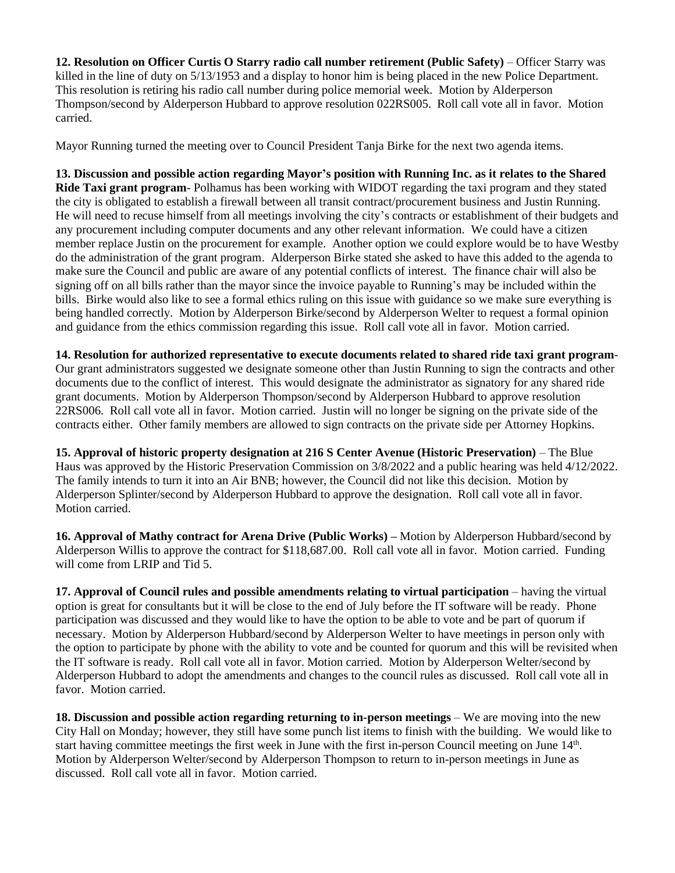**12. Resolution on Officer Curtis O Starry radio call number retirement (Public Safety)** – Officer Starry was killed in the line of duty on 5/13/1953 and a display to honor him is being placed in the new Police Department. This resolution is retiring his radio call number during police memorial week. Motion by Alderperson Thompson/second by Alderperson Hubbard to approve resolution 022RS005. Roll call vote all in favor. Motion carried.

Mayor Running turned the meeting over to Council President Tanja Birke for the next two agenda items.

**13. Discussion and possible action regarding Mayor's position with Running Inc. as it relates to the Shared Ride Taxi grant program**- Polhamus has been working with WIDOT regarding the taxi program and they stated the city is obligated to establish a firewall between all transit contract/procurement business and Justin Running. He will need to recuse himself from all meetings involving the city's contracts or establishment of their budgets and any procurement including computer documents and any other relevant information. We could have a citizen member replace Justin on the procurement for example. Another option we could explore would be to have Westby do the administration of the grant program. Alderperson Birke stated she asked to have this added to the agenda to make sure the Council and public are aware of any potential conflicts of interest. The finance chair will also be signing off on all bills rather than the mayor since the invoice payable to Running's may be included within the bills. Birke would also like to see a formal ethics ruling on this issue with guidance so we make sure everything is being handled correctly. Motion by Alderperson Birke/second by Alderperson Welter to request a formal opinion and guidance from the ethics commission regarding this issue. Roll call vote all in favor. Motion carried.

**14. Resolution for authorized representative to execute documents related to shared ride taxi grant program**-Our grant administrators suggested we designate someone other than Justin Running to sign the contracts and other documents due to the conflict of interest. This would designate the administrator as signatory for any shared ride grant documents. Motion by Alderperson Thompson/second by Alderperson Hubbard to approve resolution 22RS006. Roll call vote all in favor. Motion carried. Justin will no longer be signing on the private side of the contracts either. Other family members are allowed to sign contracts on the private side per Attorney Hopkins.

**15. Approval of historic property designation at 216 S Center Avenue (Historic Preservation)** – The Blue Haus was approved by the Historic Preservation Commission on 3/8/2022 and a public hearing was held 4/12/2022. The family intends to turn it into an Air BNB; however, the Council did not like this decision. Motion by Alderperson Splinter/second by Alderperson Hubbard to approve the designation. Roll call vote all in favor. Motion carried.

**16. Approval of Mathy contract for Arena Drive (Public Works) –** Motion by Alderperson Hubbard/second by Alderperson Willis to approve the contract for \$118,687.00. Roll call vote all in favor. Motion carried. Funding will come from LRIP and Tid 5.

**17. Approval of Council rules and possible amendments relating to virtual participation** – having the virtual option is great for consultants but it will be close to the end of July before the IT software will be ready. Phone participation was discussed and they would like to have the option to be able to vote and be part of quorum if necessary. Motion by Alderperson Hubbard/second by Alderperson Welter to have meetings in person only with the option to participate by phone with the ability to vote and be counted for quorum and this will be revisited when the IT software is ready. Roll call vote all in favor. Motion carried. Motion by Alderperson Welter/second by Alderperson Hubbard to adopt the amendments and changes to the council rules as discussed. Roll call vote all in favor. Motion carried.

**18. Discussion and possible action regarding returning to in-person meetings** – We are moving into the new City Hall on Monday; however, they still have some punch list items to finish with the building. We would like to start having committee meetings the first week in June with the first in-person Council meeting on June 14<sup>th</sup>. Motion by Alderperson Welter/second by Alderperson Thompson to return to in-person meetings in June as discussed. Roll call vote all in favor. Motion carried.